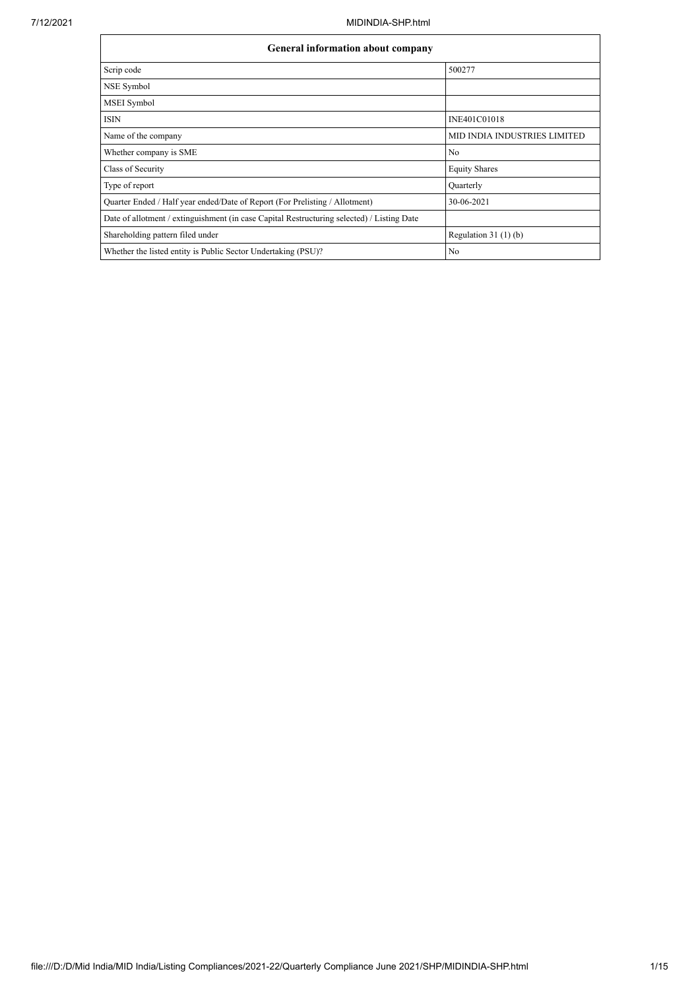| <b>General information about company</b>                                                   |                              |  |  |  |  |  |  |
|--------------------------------------------------------------------------------------------|------------------------------|--|--|--|--|--|--|
| Scrip code                                                                                 | 500277                       |  |  |  |  |  |  |
| <b>NSE Symbol</b>                                                                          |                              |  |  |  |  |  |  |
| <b>MSEI</b> Symbol                                                                         |                              |  |  |  |  |  |  |
| <b>ISIN</b>                                                                                | INE401C01018                 |  |  |  |  |  |  |
| Name of the company                                                                        | MID INDIA INDUSTRIES LIMITED |  |  |  |  |  |  |
| Whether company is SME                                                                     | No                           |  |  |  |  |  |  |
| Class of Security                                                                          | <b>Equity Shares</b>         |  |  |  |  |  |  |
| Type of report                                                                             | Quarterly                    |  |  |  |  |  |  |
| Quarter Ended / Half year ended/Date of Report (For Prelisting / Allotment)                | 30-06-2021                   |  |  |  |  |  |  |
| Date of allotment / extinguishment (in case Capital Restructuring selected) / Listing Date |                              |  |  |  |  |  |  |
| Shareholding pattern filed under                                                           | Regulation $31(1)(b)$        |  |  |  |  |  |  |
| Whether the listed entity is Public Sector Undertaking (PSU)?                              | No                           |  |  |  |  |  |  |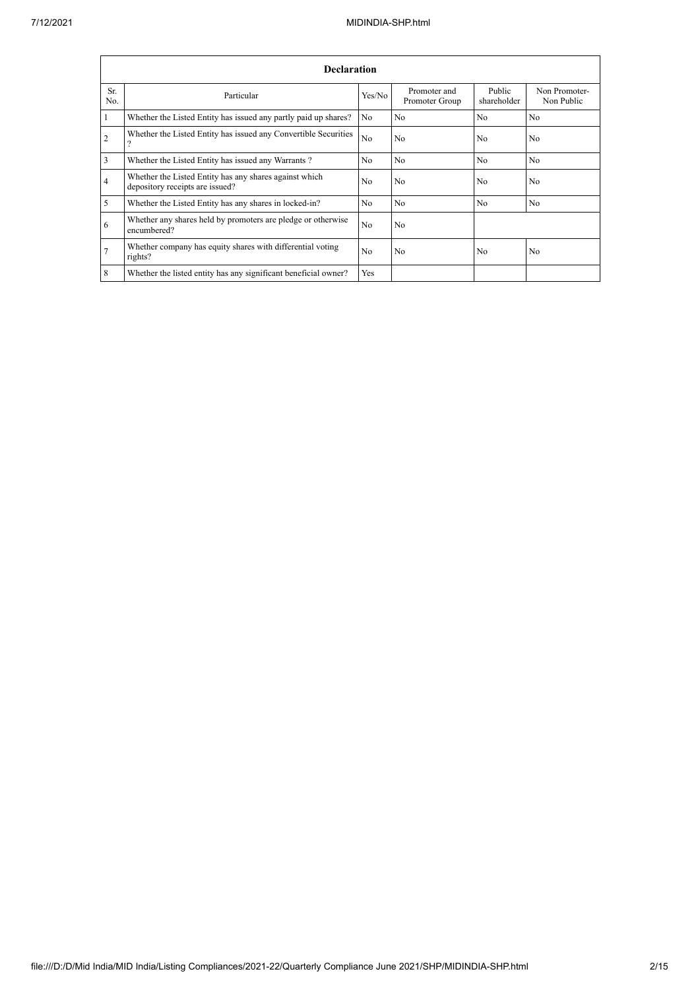|                | <b>Declaration</b>                                                                        |                |                                |                       |                             |  |  |  |  |  |
|----------------|-------------------------------------------------------------------------------------------|----------------|--------------------------------|-----------------------|-----------------------------|--|--|--|--|--|
| Sr.<br>No.     | Particular                                                                                | Yes/No         | Promoter and<br>Promoter Group | Public<br>shareholder | Non Promoter-<br>Non Public |  |  |  |  |  |
|                | Whether the Listed Entity has issued any partly paid up shares?                           | No             | N <sub>0</sub>                 | N <sub>0</sub>        | N <sub>o</sub>              |  |  |  |  |  |
| $\overline{2}$ | Whether the Listed Entity has issued any Convertible Securities                           | N <sub>o</sub> | No                             | N <sub>0</sub>        | No                          |  |  |  |  |  |
| 3              | Whether the Listed Entity has issued any Warrants?                                        | No             | N <sub>0</sub>                 | N <sub>o</sub>        | No                          |  |  |  |  |  |
| $\overline{4}$ | Whether the Listed Entity has any shares against which<br>depository receipts are issued? | No             | No                             | N <sub>0</sub>        | No                          |  |  |  |  |  |
| 5              | Whether the Listed Entity has any shares in locked-in?                                    | No             | No                             | N <sub>o</sub>        | N <sub>o</sub>              |  |  |  |  |  |
| 6              | Whether any shares held by promoters are pledge or otherwise<br>encumbered?               | N <sub>o</sub> | No                             |                       |                             |  |  |  |  |  |
| $\overline{7}$ | Whether company has equity shares with differential voting<br>rights?                     | N <sub>0</sub> | N <sub>0</sub>                 | N <sub>0</sub>        | No                          |  |  |  |  |  |
| 8              | Whether the listed entity has any significant beneficial owner?                           | Yes            |                                |                       |                             |  |  |  |  |  |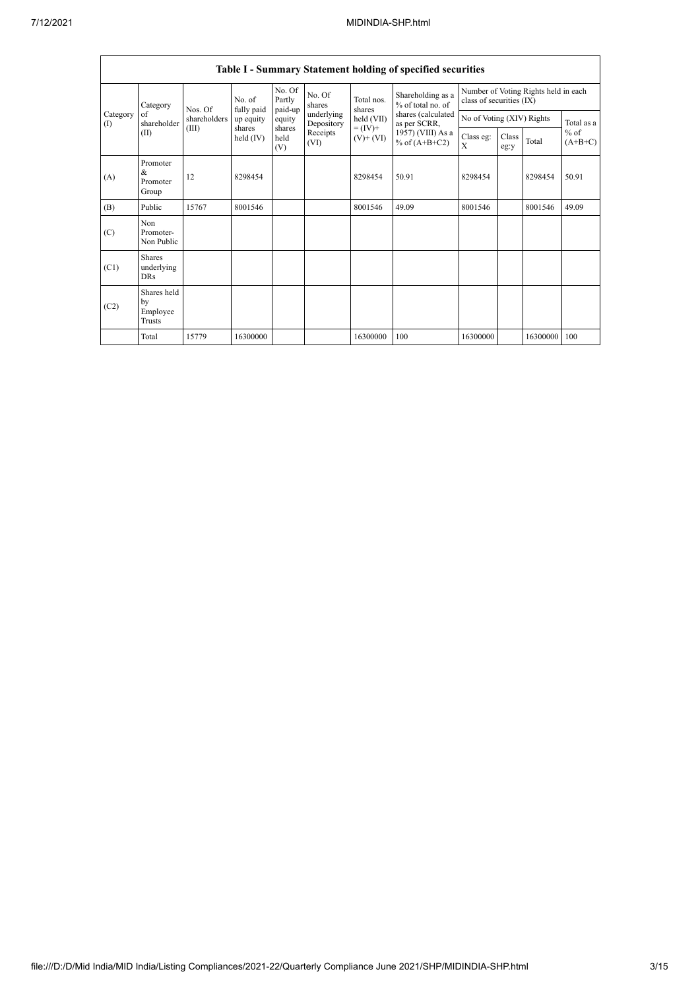|                          | Table I - Summary Statement holding of specified securities |              |                                                            |                             |                          |                                                                    |                                                                                                                      |                                                                  |               |          |                     |
|--------------------------|-------------------------------------------------------------|--------------|------------------------------------------------------------|-----------------------------|--------------------------|--------------------------------------------------------------------|----------------------------------------------------------------------------------------------------------------------|------------------------------------------------------------------|---------------|----------|---------------------|
|                          | Category<br>Nos. Of<br>of<br>shareholder<br>(III)<br>(II)   |              | No. of<br>fully paid<br>up equity<br>shares<br>held $(IV)$ | No. Of<br>Partly<br>paid-up | No. Of<br>shares         | Total nos.<br>shares<br>held (VII)<br>$= (IV) +$<br>$(V)$ + $(VI)$ | Shareholding as a<br>% of total no. of<br>shares (calculated<br>as per SCRR,<br>1957) (VIII) As a<br>% of $(A+B+C2)$ | Number of Voting Rights held in each<br>class of securities (IX) |               |          |                     |
| Category<br>$($ $\Gamma$ |                                                             | shareholders |                                                            | equity                      | underlying<br>Depository |                                                                    |                                                                                                                      | No of Voting (XIV) Rights                                        |               |          | Total as a          |
|                          |                                                             |              |                                                            | shares<br>held<br>(V)       | Receipts<br>(VI)         |                                                                    |                                                                                                                      | Class eg:<br>$\mathbf{X}$                                        | Class<br>eg:y | Total    | $%$ of<br>$(A+B+C)$ |
| (A)                      | Promoter<br>$\&$<br>Promoter<br>Group                       | 12           | 8298454                                                    |                             |                          | 8298454                                                            | 50.91                                                                                                                | 8298454                                                          |               | 8298454  | 50.91               |
| (B)                      | Public                                                      | 15767        | 8001546                                                    |                             |                          | 8001546                                                            | 49.09                                                                                                                | 8001546                                                          |               | 8001546  | 49.09               |
| (C)                      | Non<br>Promoter-<br>Non Public                              |              |                                                            |                             |                          |                                                                    |                                                                                                                      |                                                                  |               |          |                     |
| (C1)                     | <b>Shares</b><br>underlying<br><b>DRs</b>                   |              |                                                            |                             |                          |                                                                    |                                                                                                                      |                                                                  |               |          |                     |
| (C2)                     | Shares held<br>by<br>Employee<br><b>Trusts</b>              |              |                                                            |                             |                          |                                                                    |                                                                                                                      |                                                                  |               |          |                     |
|                          | Total                                                       | 15779        | 16300000                                                   |                             |                          | 16300000                                                           | 100                                                                                                                  | 16300000                                                         |               | 16300000 | 100                 |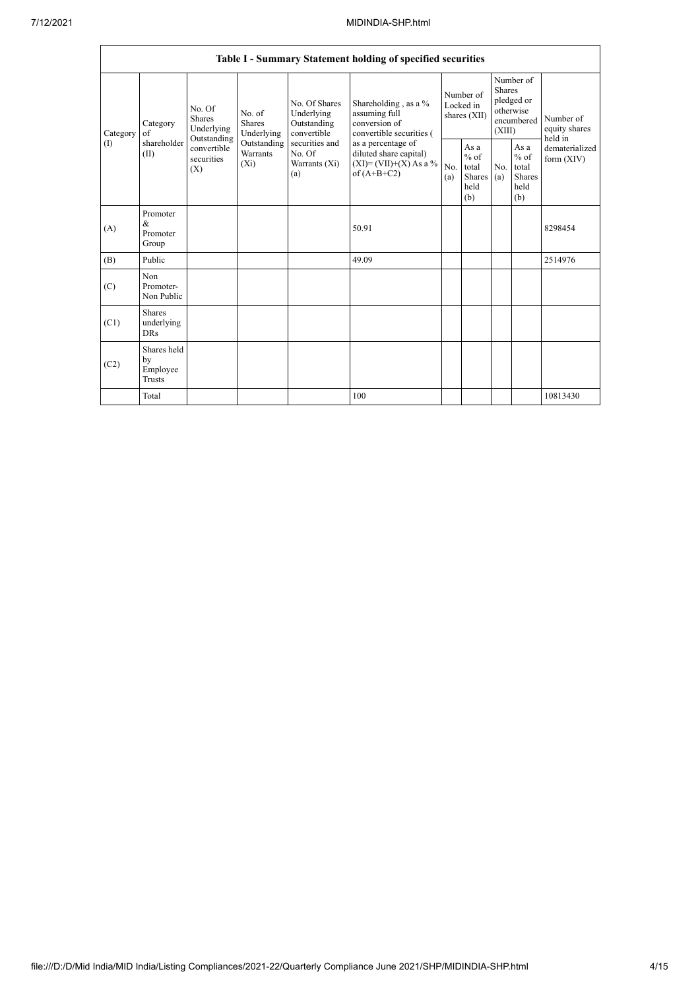|                 | Table I - Summary Statement holding of specified securities |                                                                                                                         |                         |                                                                                                               |                                                                                                                                                                                |                                        |                                                  |                                                                               |                                                         |                                       |  |
|-----------------|-------------------------------------------------------------|-------------------------------------------------------------------------------------------------------------------------|-------------------------|---------------------------------------------------------------------------------------------------------------|--------------------------------------------------------------------------------------------------------------------------------------------------------------------------------|----------------------------------------|--------------------------------------------------|-------------------------------------------------------------------------------|---------------------------------------------------------|---------------------------------------|--|
| Category<br>(1) | Category<br>of<br>shareholder<br>(II)                       | No. Of<br>No. of<br><b>Shares</b><br>Shares<br>Underlying<br>Outstanding<br>convertible<br>securities<br>$(X_i)$<br>(X) | Underlying              | No. Of Shares<br>Underlying<br>Outstanding<br>convertible<br>securities and<br>No. Of<br>Warrants (Xi)<br>(a) | Shareholding, as a %<br>assuming full<br>conversion of<br>convertible securities (<br>as a percentage of<br>diluted share capital)<br>$(XI)=(VII)+(X) As a %$<br>of $(A+B+C2)$ | Number of<br>Locked in<br>shares (XII) |                                                  | Number of<br><b>Shares</b><br>pledged or<br>otherwise<br>encumbered<br>(XIII) |                                                         | Number of<br>equity shares<br>held in |  |
|                 |                                                             |                                                                                                                         | Outstanding<br>Warrants |                                                                                                               |                                                                                                                                                                                | No.<br>(a)                             | As a<br>$%$ of<br>total<br>Shares<br>held<br>(b) | No.<br>(a)                                                                    | As a<br>$%$ of<br>total<br><b>Shares</b><br>held<br>(b) | dematerialized<br>form $(XIV)$        |  |
| (A)             | Promoter<br>$\&$<br>Promoter<br>Group                       |                                                                                                                         |                         |                                                                                                               | 50.91                                                                                                                                                                          |                                        |                                                  |                                                                               |                                                         | 8298454                               |  |
| (B)             | Public                                                      |                                                                                                                         |                         |                                                                                                               | 49.09                                                                                                                                                                          |                                        |                                                  |                                                                               |                                                         | 2514976                               |  |
| (C)             | Non<br>Promoter-<br>Non Public                              |                                                                                                                         |                         |                                                                                                               |                                                                                                                                                                                |                                        |                                                  |                                                                               |                                                         |                                       |  |
| (C1)            | Shares<br>underlying<br><b>DRs</b>                          |                                                                                                                         |                         |                                                                                                               |                                                                                                                                                                                |                                        |                                                  |                                                                               |                                                         |                                       |  |
| (C2)            | Shares held<br>by<br>Employee<br>Trusts                     |                                                                                                                         |                         |                                                                                                               |                                                                                                                                                                                |                                        |                                                  |                                                                               |                                                         |                                       |  |
|                 | Total                                                       |                                                                                                                         |                         |                                                                                                               | 100                                                                                                                                                                            |                                        |                                                  |                                                                               |                                                         | 10813430                              |  |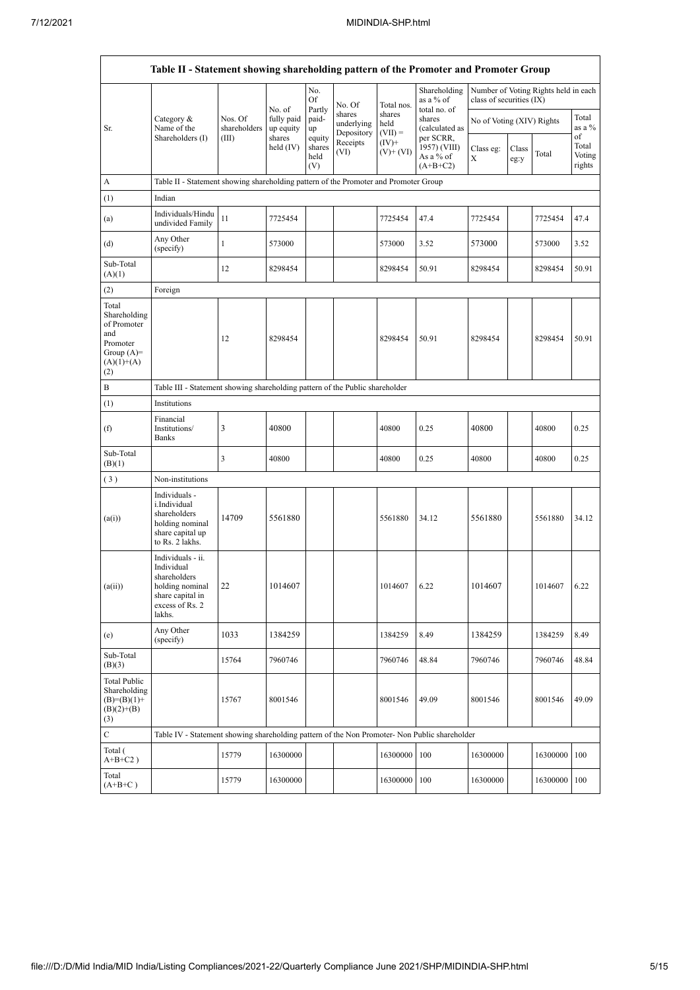| Table II - Statement showing shareholding pattern of the Promoter and Promoter Group           |                                                                                                                        |                                                                              |                                   |                                 |                                    |                             |                                                       |                           |               |                                      |                           |  |
|------------------------------------------------------------------------------------------------|------------------------------------------------------------------------------------------------------------------------|------------------------------------------------------------------------------|-----------------------------------|---------------------------------|------------------------------------|-----------------------------|-------------------------------------------------------|---------------------------|---------------|--------------------------------------|---------------------------|--|
|                                                                                                |                                                                                                                        |                                                                              |                                   | No.<br>Of                       | No. Of                             | Total nos.                  | Shareholding<br>as a % of                             | class of securities (IX)  |               | Number of Voting Rights held in each |                           |  |
| Sr.                                                                                            | Category &<br>Name of the                                                                                              | Nos. Of<br>shareholders                                                      | No. of<br>fully paid<br>up equity | Partly<br>paid-<br>up<br>equity | shares<br>underlying<br>Depository | shares<br>held<br>$(VII) =$ | total no. of<br>shares<br>(calculated as<br>per SCRR, | No of Voting (XIV) Rights |               |                                      | Total<br>as a %<br>of     |  |
|                                                                                                | Shareholders (I)                                                                                                       | (III)                                                                        | shares<br>held $(IV)$             | shares<br>held<br>(V)           | Receipts<br>(VI)                   | $(IV)+$<br>$(V)$ + $(VI)$   | 1957) (VIII)<br>As a % of<br>$(A+B+C2)$               | Class eg:<br>X            | Class<br>eg:y | Total                                | Total<br>Voting<br>rights |  |
| A                                                                                              | Table II - Statement showing shareholding pattern of the Promoter and Promoter Group                                   |                                                                              |                                   |                                 |                                    |                             |                                                       |                           |               |                                      |                           |  |
| (1)                                                                                            | Indian                                                                                                                 |                                                                              |                                   |                                 |                                    |                             |                                                       |                           |               |                                      |                           |  |
| (a)                                                                                            | Individuals/Hindu<br>undivided Family                                                                                  | 11                                                                           | 7725454                           |                                 |                                    | 7725454                     | 47.4                                                  | 7725454                   |               | 7725454                              | 47.4                      |  |
| (d)                                                                                            | Any Other<br>(specify)                                                                                                 | 1                                                                            | 573000                            |                                 |                                    | 573000                      | 3.52                                                  | 573000                    |               | 573000                               | 3.52                      |  |
| Sub-Total<br>(A)(1)                                                                            |                                                                                                                        | 12                                                                           | 8298454                           |                                 |                                    | 8298454                     | 50.91                                                 | 8298454                   |               | 8298454                              | 50.91                     |  |
| (2)                                                                                            | Foreign                                                                                                                |                                                                              |                                   |                                 |                                    |                             |                                                       |                           |               |                                      |                           |  |
| Total<br>Shareholding<br>of Promoter<br>and<br>Promoter<br>Group $(A)=$<br>$(A)(1)+(A)$<br>(2) |                                                                                                                        | 12                                                                           | 8298454                           |                                 |                                    | 8298454                     | 50.91                                                 | 8298454                   |               | 8298454                              | 50.91                     |  |
| B                                                                                              |                                                                                                                        | Table III - Statement showing shareholding pattern of the Public shareholder |                                   |                                 |                                    |                             |                                                       |                           |               |                                      |                           |  |
| (1)                                                                                            | Institutions                                                                                                           |                                                                              |                                   |                                 |                                    |                             |                                                       |                           |               |                                      |                           |  |
| (f)                                                                                            | Financial<br>Institutions/<br>Banks                                                                                    | 3                                                                            | 40800                             |                                 |                                    | 40800                       | 0.25                                                  | 40800                     |               | 40800                                | 0.25                      |  |
| Sub-Total<br>(B)(1)                                                                            |                                                                                                                        | 3                                                                            | 40800                             |                                 |                                    | 40800                       | 0.25                                                  | 40800                     |               | 40800                                | 0.25                      |  |
| $(\sqrt{3})$                                                                                   | Non-institutions                                                                                                       |                                                                              |                                   |                                 |                                    |                             |                                                       |                           |               |                                      |                           |  |
| (a(i))                                                                                         | Individuals -<br>i.Individual<br>shareholders<br>holding nominal<br>share capital up<br>to Rs. 2 lakhs.                | 14709                                                                        | 5561880                           |                                 |                                    | 5561880                     | 34.12                                                 | 5561880                   |               | 5561880                              | 34.12                     |  |
| (a(ii))                                                                                        | Individuals - ii.<br>Individual<br>shareholders<br>holding nominal 22<br>share capital in<br>excess of Rs. 2<br>lakhs. |                                                                              | 1014607                           |                                 |                                    | 1014607                     | 6.22                                                  | 1014607                   |               | 1014607                              | 6.22                      |  |
| (e)                                                                                            | Any Other<br>(specify)                                                                                                 | 1033                                                                         | 1384259                           |                                 |                                    | 1384259                     | 8.49                                                  | 1384259                   |               | 1384259                              | 8.49                      |  |
| Sub-Total<br>(B)(3)                                                                            |                                                                                                                        | 15764                                                                        | 7960746                           |                                 |                                    | 7960746                     | 48.84                                                 | 7960746                   |               | 7960746                              | 48.84                     |  |
| <b>Total Public</b><br>Shareholding<br>$(B)= (B)(1) +$<br>$(B)(2)+(B)$<br>(3)                  |                                                                                                                        | 15767                                                                        | 8001546                           |                                 |                                    | 8001546                     | 49.09                                                 | 8001546                   |               | 8001546                              | 49.09                     |  |
| $\mathbf C$                                                                                    | Table IV - Statement showing shareholding pattern of the Non Promoter- Non Public shareholder                          |                                                                              |                                   |                                 |                                    |                             |                                                       |                           |               |                                      |                           |  |
| Total (<br>$A+B+C2$ )                                                                          |                                                                                                                        | 15779                                                                        | 16300000                          |                                 |                                    | 16300000                    | 100                                                   | 16300000                  |               | 16300000                             | 100                       |  |
| Total<br>$(A+B+C)$                                                                             |                                                                                                                        | 15779                                                                        | 16300000                          |                                 |                                    | 16300000                    | 100                                                   | 16300000                  |               | 16300000                             | 100                       |  |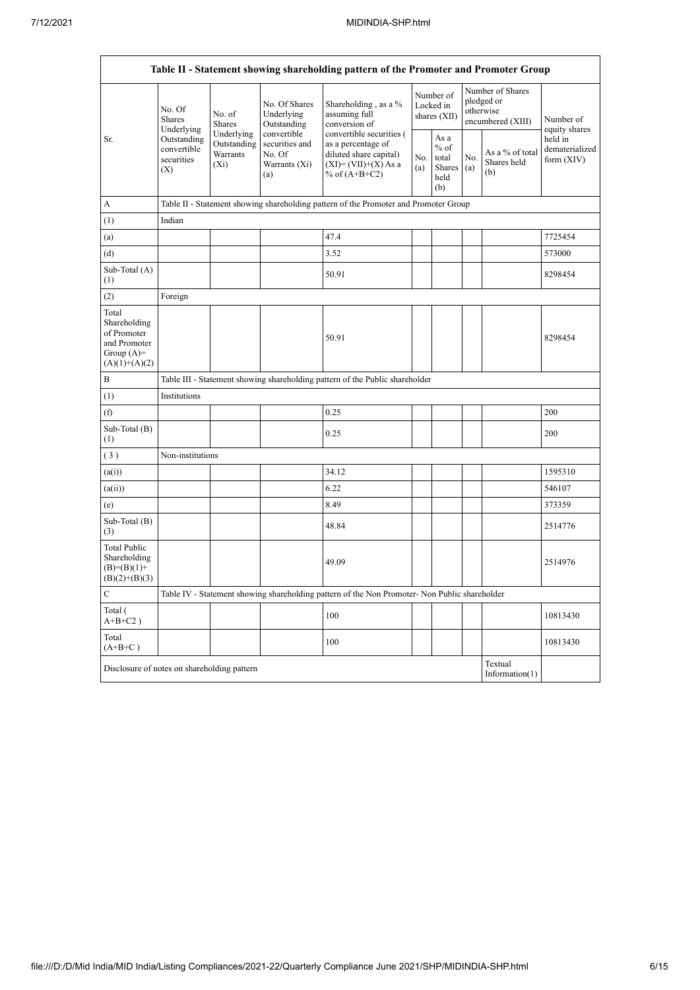| Table II - Statement showing shareholding pattern of the Promoter and Promoter Group    |                                                                          |                                                                                                                     |                                            |                                                                                                                      |            |                                                  |                                                                  |                                       |                                           |  |
|-----------------------------------------------------------------------------------------|--------------------------------------------------------------------------|---------------------------------------------------------------------------------------------------------------------|--------------------------------------------|----------------------------------------------------------------------------------------------------------------------|------------|--------------------------------------------------|------------------------------------------------------------------|---------------------------------------|-------------------------------------------|--|
|                                                                                         | No. Of<br><b>Shares</b><br>Underlying                                    | No. of<br>Shares                                                                                                    | No. Of Shares<br>Underlying<br>Outstanding | Shareholding, as a %<br>assuming full<br>conversion of                                                               |            | Number of<br>Locked in<br>shares (XII)           | Number of Shares<br>pledged or<br>otherwise<br>encumbered (XIII) |                                       | Number of<br>equity shares                |  |
| Sr.                                                                                     | Outstanding<br>convertible<br>securities<br>(X)                          | convertible<br>Underlying<br>Outstanding<br>securities and<br>Warrants<br>No. Of<br>Warrants (Xi)<br>$(X_i)$<br>(a) |                                            | convertible securities (<br>as a percentage of<br>diluted share capital)<br>$(XI)=(VII)+(X) As a$<br>% of $(A+B+C2)$ | No.<br>(a) | As a<br>$%$ of<br>total<br>Shares<br>held<br>(b) | No.<br>(a)                                                       | As a % of total<br>Shares held<br>(b) | held in<br>dematerialized<br>form $(XIV)$ |  |
| А                                                                                       |                                                                          |                                                                                                                     |                                            | Table II - Statement showing shareholding pattern of the Promoter and Promoter Group                                 |            |                                                  |                                                                  |                                       |                                           |  |
| (1)                                                                                     | Indian                                                                   |                                                                                                                     |                                            |                                                                                                                      |            |                                                  |                                                                  |                                       |                                           |  |
| (a)                                                                                     |                                                                          |                                                                                                                     |                                            | 47.4                                                                                                                 |            |                                                  |                                                                  |                                       | 7725454                                   |  |
| (d)                                                                                     |                                                                          |                                                                                                                     |                                            | 3.52                                                                                                                 |            |                                                  |                                                                  |                                       | 573000                                    |  |
| Sub-Total (A)<br>(1)                                                                    |                                                                          |                                                                                                                     |                                            | 50.91                                                                                                                |            |                                                  |                                                                  |                                       | 8298454                                   |  |
| (2)                                                                                     | Foreign                                                                  |                                                                                                                     |                                            |                                                                                                                      |            |                                                  |                                                                  |                                       |                                           |  |
| Total<br>Shareholding<br>of Promoter<br>and Promoter<br>Group $(A)=$<br>$(A)(1)+(A)(2)$ |                                                                          |                                                                                                                     |                                            | 50.91                                                                                                                |            |                                                  |                                                                  |                                       | 8298454                                   |  |
| B                                                                                       |                                                                          | Table III - Statement showing shareholding pattern of the Public shareholder                                        |                                            |                                                                                                                      |            |                                                  |                                                                  |                                       |                                           |  |
| (1)                                                                                     | Institutions                                                             |                                                                                                                     |                                            |                                                                                                                      |            |                                                  |                                                                  |                                       |                                           |  |
| (f)                                                                                     |                                                                          |                                                                                                                     |                                            | 0.25                                                                                                                 |            |                                                  |                                                                  |                                       | 200                                       |  |
| Sub-Total (B)<br>(1)                                                                    |                                                                          |                                                                                                                     |                                            | 0.25                                                                                                                 |            |                                                  |                                                                  |                                       | 200                                       |  |
| (3)                                                                                     | Non-institutions                                                         |                                                                                                                     |                                            |                                                                                                                      |            |                                                  |                                                                  |                                       |                                           |  |
| (a(i))                                                                                  |                                                                          |                                                                                                                     |                                            | 34.12                                                                                                                |            |                                                  |                                                                  |                                       | 1595310                                   |  |
| (a(ii))                                                                                 |                                                                          |                                                                                                                     |                                            | 6.22                                                                                                                 |            |                                                  |                                                                  |                                       | 546107                                    |  |
| (e)                                                                                     |                                                                          |                                                                                                                     |                                            | 8.49                                                                                                                 |            |                                                  |                                                                  |                                       | 373359                                    |  |
| Sub-Total (B)<br>(3)                                                                    |                                                                          |                                                                                                                     |                                            | 48.84                                                                                                                |            |                                                  |                                                                  |                                       | 2514776                                   |  |
| Total Public<br>Shareholding<br>$(B)=(B)(1)+$<br>$(B)(2)+(B)(3)$                        |                                                                          |                                                                                                                     |                                            | 49.09                                                                                                                |            |                                                  |                                                                  |                                       | 2514976                                   |  |
| ${\bf C}$                                                                               |                                                                          |                                                                                                                     |                                            | Table IV - Statement showing shareholding pattern of the Non Promoter- Non Public shareholder                        |            |                                                  |                                                                  |                                       |                                           |  |
| Total (<br>$A+B+C2$ )                                                                   |                                                                          |                                                                                                                     |                                            | 100                                                                                                                  |            |                                                  |                                                                  |                                       | 10813430                                  |  |
| Total<br>$(A+B+C)$                                                                      |                                                                          |                                                                                                                     |                                            | 100                                                                                                                  |            |                                                  |                                                                  |                                       | 10813430                                  |  |
|                                                                                         | Textual<br>Disclosure of notes on shareholding pattern<br>Information(1) |                                                                                                                     |                                            |                                                                                                                      |            |                                                  |                                                                  |                                       |                                           |  |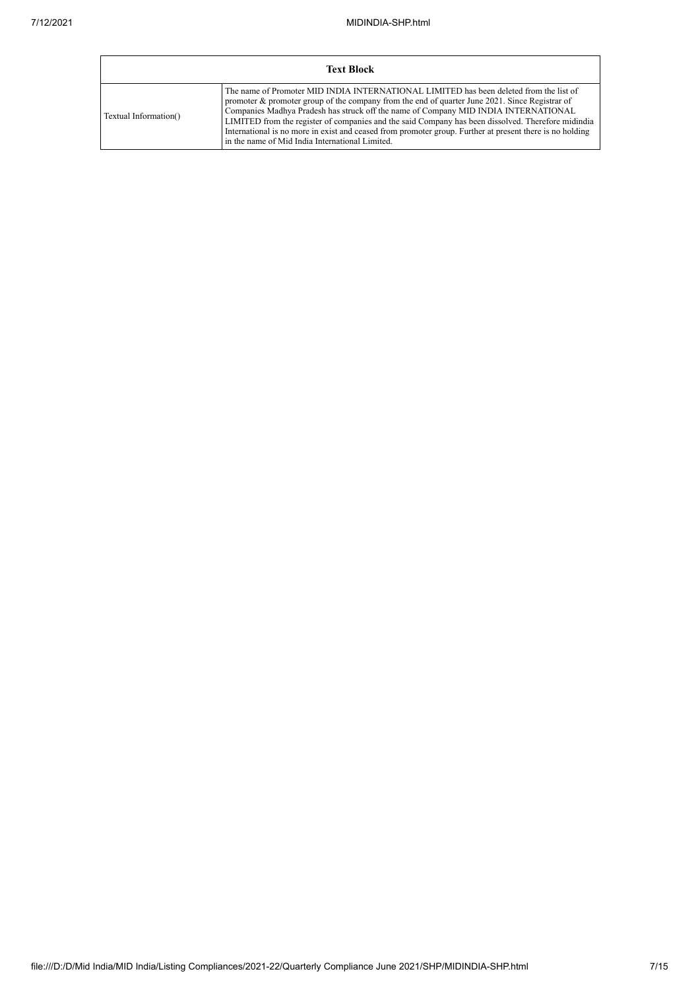|                       | <b>Text Block</b>                                                                                                                                                                                                                                                                                                                                                                                                                                                                                                                                       |
|-----------------------|---------------------------------------------------------------------------------------------------------------------------------------------------------------------------------------------------------------------------------------------------------------------------------------------------------------------------------------------------------------------------------------------------------------------------------------------------------------------------------------------------------------------------------------------------------|
| Textual Information() | The name of Promoter MID INDIA INTERNATIONAL LIMITED has been deleted from the list of<br>promoter $\&$ promoter group of the company from the end of quarter June 2021. Since Registrar of<br>Companies Madhya Pradesh has struck off the name of Company MID INDIA INTERNATIONAL<br>LIMITED from the register of companies and the said Company has been dissolved. Therefore midindia<br>International is no more in exist and ceased from promoter group. Further at present there is no holding<br>in the name of Mid India International Limited. |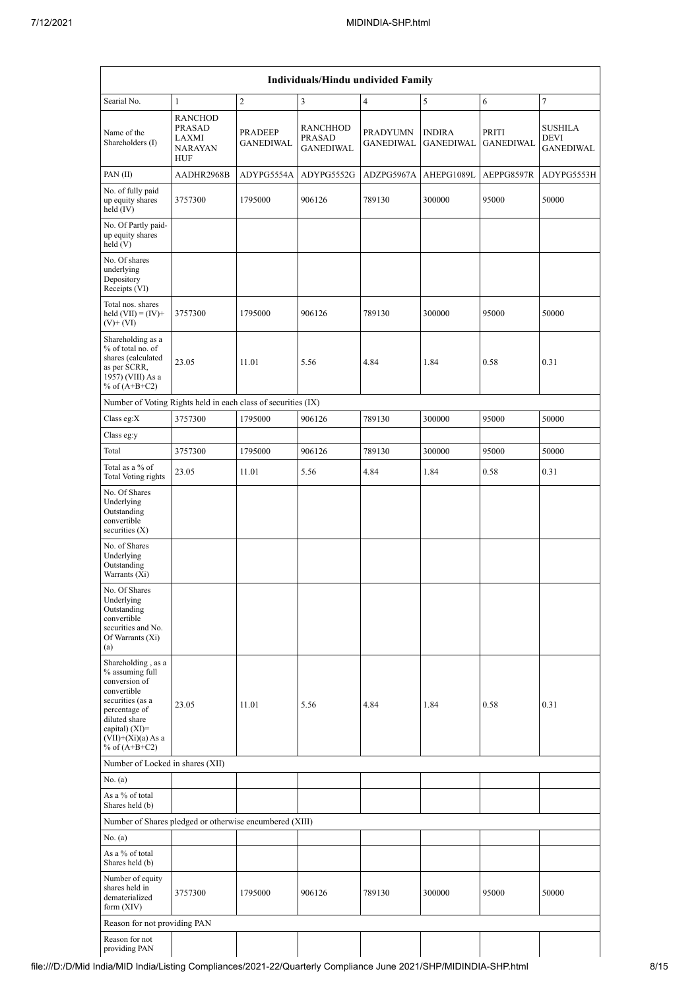| Individuals/Hindu undivided Family                                                                                                                                                         |                                                            |                                    |                                                      |                                     |                                   |                           |                                            |  |  |  |
|--------------------------------------------------------------------------------------------------------------------------------------------------------------------------------------------|------------------------------------------------------------|------------------------------------|------------------------------------------------------|-------------------------------------|-----------------------------------|---------------------------|--------------------------------------------|--|--|--|
| Searial No.                                                                                                                                                                                | $\mathbf{1}$                                               | $\overline{c}$                     | 3                                                    | $\overline{4}$                      | 5                                 | 6                         | $\tau$                                     |  |  |  |
| Name of the<br>Shareholders (I)                                                                                                                                                            | <b>RANCHOD</b><br>PRASAD<br>LAXMI<br><b>NARAYAN</b><br>HUF | <b>PRADEEP</b><br><b>GANEDIWAL</b> | <b>RANCHHOD</b><br><b>PRASAD</b><br><b>GANEDIWAL</b> | <b>PRADYUMN</b><br><b>GANEDIWAL</b> | <b>INDIRA</b><br><b>GANEDIWAL</b> | PRITI<br><b>GANEDIWAL</b> | SUSHILA<br><b>DEVI</b><br><b>GANEDIWAL</b> |  |  |  |
| PAN(II)                                                                                                                                                                                    | AADHR2968B                                                 | ADYPG5554A                         | ADYPG5552G                                           | ADZPG5967A                          | AHEPG1089L                        | AEPPG8597R                | ADYPG5553H                                 |  |  |  |
| No. of fully paid<br>up equity shares<br>held $(IV)$                                                                                                                                       | 3757300                                                    | 1795000                            | 906126                                               | 789130                              | 300000                            | 95000                     | 50000                                      |  |  |  |
| No. Of Partly paid-<br>up equity shares<br>held (V)                                                                                                                                        |                                                            |                                    |                                                      |                                     |                                   |                           |                                            |  |  |  |
| No. Of shares<br>underlying<br>Depository<br>Receipts (VI)                                                                                                                                 |                                                            |                                    |                                                      |                                     |                                   |                           |                                            |  |  |  |
| Total nos. shares<br>held $(VII) = (IV) +$<br>$(V)$ + $(VI)$                                                                                                                               | 3757300                                                    | 1795000                            | 906126                                               | 789130                              | 300000                            | 95000                     | 50000                                      |  |  |  |
| Shareholding as a<br>% of total no. of<br>shares (calculated<br>as per SCRR,<br>1957) (VIII) As a<br>% of $(A+B+C2)$                                                                       | 23.05                                                      | 11.01                              | 5.56                                                 | 4.84                                | 1.84                              | 0.58                      | 0.31                                       |  |  |  |
| Number of Voting Rights held in each class of securities (IX)                                                                                                                              |                                                            |                                    |                                                      |                                     |                                   |                           |                                            |  |  |  |
| Class eg: $X$                                                                                                                                                                              | 3757300                                                    | 1795000                            | 906126                                               | 789130                              | 300000                            | 95000                     | 50000                                      |  |  |  |
| Class eg:y                                                                                                                                                                                 |                                                            |                                    |                                                      |                                     |                                   |                           |                                            |  |  |  |
| Total                                                                                                                                                                                      | 3757300                                                    | 1795000                            | 906126                                               | 789130                              | 300000                            | 95000                     | 50000                                      |  |  |  |
| Total as a % of<br>Total Voting rights                                                                                                                                                     | 23.05                                                      | 11.01                              | 5.56                                                 | 4.84                                | 1.84                              | 0.58                      | 0.31                                       |  |  |  |
| No. Of Shares<br>Underlying<br>Outstanding<br>convertible<br>securities $(X)$                                                                                                              |                                                            |                                    |                                                      |                                     |                                   |                           |                                            |  |  |  |
| No. of Shares<br>Underlying<br>Outstanding<br>Warrants (Xi)                                                                                                                                |                                                            |                                    |                                                      |                                     |                                   |                           |                                            |  |  |  |
| No. Of Shares<br>Underlying<br>Outstanding<br>convertible<br>securities and No.<br>Of Warrants (Xi)<br>(a)                                                                                 |                                                            |                                    |                                                      |                                     |                                   |                           |                                            |  |  |  |
| Shareholding, as a<br>% assuming full<br>conversion of<br>convertible<br>securities (as a<br>percentage of<br>diluted share<br>capital) $(XI)=$<br>$(VII)+(Xi)(a) As a$<br>% of $(A+B+C2)$ | 23.05                                                      | 11.01                              | 5.56                                                 | 4.84                                | 1.84                              | 0.58                      | 0.31                                       |  |  |  |
| Number of Locked in shares (XII)                                                                                                                                                           |                                                            |                                    |                                                      |                                     |                                   |                           |                                            |  |  |  |
| No. (a)                                                                                                                                                                                    |                                                            |                                    |                                                      |                                     |                                   |                           |                                            |  |  |  |
| As a % of total<br>Shares held (b)                                                                                                                                                         |                                                            |                                    |                                                      |                                     |                                   |                           |                                            |  |  |  |
| Number of Shares pledged or otherwise encumbered (XIII)                                                                                                                                    |                                                            |                                    |                                                      |                                     |                                   |                           |                                            |  |  |  |
| No. (a)                                                                                                                                                                                    |                                                            |                                    |                                                      |                                     |                                   |                           |                                            |  |  |  |
| As a % of total<br>Shares held (b)                                                                                                                                                         |                                                            |                                    |                                                      |                                     |                                   |                           |                                            |  |  |  |
| Number of equity<br>shares held in<br>dematerialized<br>form $(XIV)$                                                                                                                       | 3757300                                                    | 1795000                            | 906126                                               | 789130                              | 300000                            | 95000                     | 50000                                      |  |  |  |
| Reason for not providing PAN                                                                                                                                                               |                                                            |                                    |                                                      |                                     |                                   |                           |                                            |  |  |  |
| Reason for not<br>providing PAN                                                                                                                                                            |                                                            |                                    |                                                      |                                     |                                   |                           |                                            |  |  |  |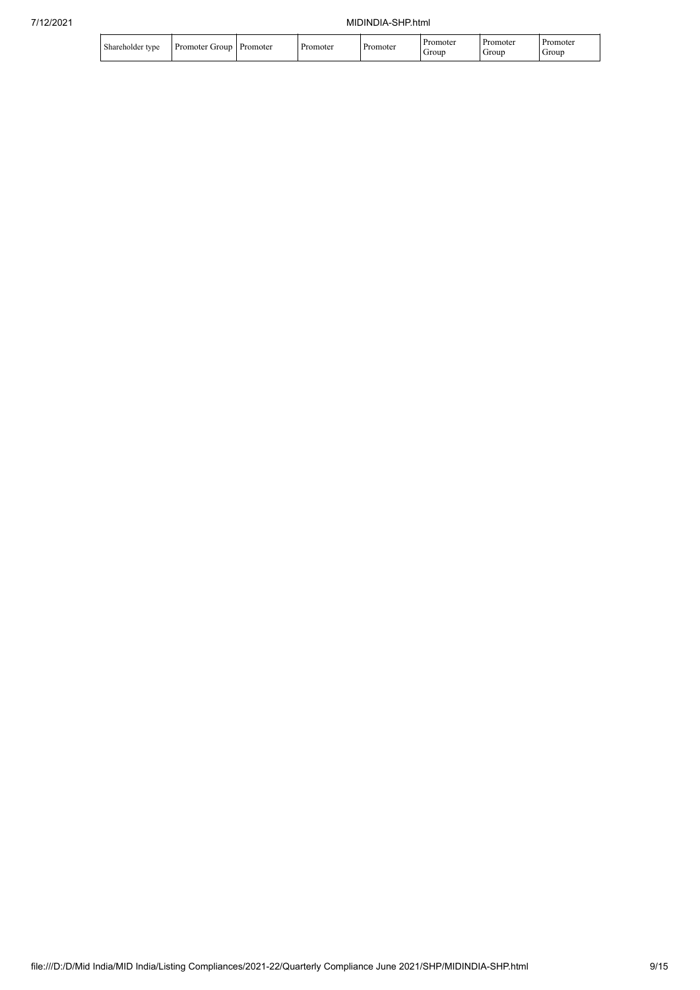| shareholder type | Grour<br>Promoter | Promoter | <b>Promoter</b> | Promoter | Promoter<br>Group | . Promoter<br>Group | Promoter<br>Group |
|------------------|-------------------|----------|-----------------|----------|-------------------|---------------------|-------------------|
|------------------|-------------------|----------|-----------------|----------|-------------------|---------------------|-------------------|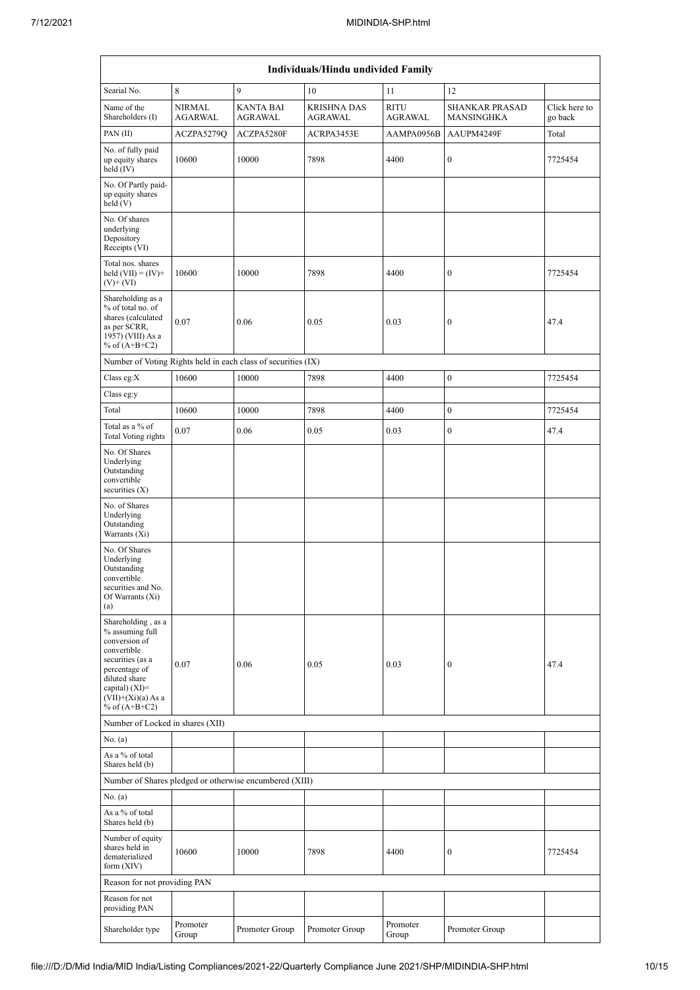| Individuals/Hindu undivided Family                                                                                                                                                         |                                 |                                                               |                                      |                        |                                            |                          |  |  |  |  |
|--------------------------------------------------------------------------------------------------------------------------------------------------------------------------------------------|---------------------------------|---------------------------------------------------------------|--------------------------------------|------------------------|--------------------------------------------|--------------------------|--|--|--|--|
| Searial No.                                                                                                                                                                                | 8                               | 9                                                             | 10                                   | 11                     | 12                                         |                          |  |  |  |  |
| Name of the<br>Shareholders (I)                                                                                                                                                            | <b>NIRMAL</b><br><b>AGARWAL</b> | <b>KANTA BAI</b><br><b>AGRAWAL</b>                            | <b>KRISHNA DAS</b><br><b>AGRAWAL</b> | <b>RITU</b><br>AGRAWAL | <b>SHANKAR PRASAD</b><br><b>MANSINGHKA</b> | Click here to<br>go back |  |  |  |  |
| PAN(II)                                                                                                                                                                                    | ACZPA5279Q                      | ACZPA5280F                                                    | ACRPA3453E                           | AAMPA0956B             | AAUPM4249F                                 | Total                    |  |  |  |  |
| No. of fully paid<br>up equity shares<br>held $(IV)$                                                                                                                                       | 10600                           | 10000                                                         | 7898                                 | 4400                   | $\boldsymbol{0}$                           | 7725454                  |  |  |  |  |
| No. Of Partly paid-<br>up equity shares<br>held(V)                                                                                                                                         |                                 |                                                               |                                      |                        |                                            |                          |  |  |  |  |
| No. Of shares<br>underlying<br>Depository<br>Receipts (VI)                                                                                                                                 |                                 |                                                               |                                      |                        |                                            |                          |  |  |  |  |
| Total nos. shares<br>held $(VII) = (IV) +$<br>$(V)$ + $(VI)$                                                                                                                               | 10600                           | 10000                                                         | 7898                                 | 4400                   | $\boldsymbol{0}$                           | 7725454                  |  |  |  |  |
| Shareholding as a<br>% of total no. of<br>shares (calculated<br>as per SCRR,<br>1957) (VIII) As a<br>% of $(A+B+C2)$                                                                       | 0.07                            | 0.06                                                          | 0.05                                 | 0.03                   | $\boldsymbol{0}$                           | 47.4                     |  |  |  |  |
|                                                                                                                                                                                            |                                 | Number of Voting Rights held in each class of securities (IX) |                                      |                        |                                            |                          |  |  |  |  |
| Class eg:X                                                                                                                                                                                 | 10600                           | 10000                                                         | 7898                                 | 4400                   | $\boldsymbol{0}$                           | 7725454                  |  |  |  |  |
| Class eg:y                                                                                                                                                                                 |                                 |                                                               |                                      |                        |                                            |                          |  |  |  |  |
| Total                                                                                                                                                                                      | 10600                           | 10000                                                         | 7898                                 | 4400                   | $\boldsymbol{0}$                           | 7725454                  |  |  |  |  |
| Total as a % of<br>Total Voting rights                                                                                                                                                     | 0.07                            | 0.06                                                          | 0.05                                 | 0.03                   | $\boldsymbol{0}$                           | 47.4                     |  |  |  |  |
| No. Of Shares<br>Underlying<br>Outstanding<br>convertible<br>securities $(X)$                                                                                                              |                                 |                                                               |                                      |                        |                                            |                          |  |  |  |  |
| No. of Shares<br>Underlying<br>Outstanding<br>Warrants (Xi)                                                                                                                                |                                 |                                                               |                                      |                        |                                            |                          |  |  |  |  |
| No. Of Shares<br>Underlying<br>Outstanding<br>convertible<br>securities and No.<br>Of Warrants (Xi)<br>(a)                                                                                 |                                 |                                                               |                                      |                        |                                            |                          |  |  |  |  |
| Shareholding, as a<br>% assuming full<br>conversion of<br>convertible<br>securities (as a<br>percentage of<br>diluted share<br>capital) $(XI)=$<br>$(VII)+(Xi)(a) As a$<br>% of $(A+B+C2)$ | 0.07                            | 0.06                                                          | 0.05                                 | 0.03                   | $\boldsymbol{0}$                           | 47.4                     |  |  |  |  |
| Number of Locked in shares (XII)                                                                                                                                                           |                                 |                                                               |                                      |                        |                                            |                          |  |  |  |  |
| No. (a)                                                                                                                                                                                    |                                 |                                                               |                                      |                        |                                            |                          |  |  |  |  |
| As a % of total<br>Shares held (b)                                                                                                                                                         |                                 |                                                               |                                      |                        |                                            |                          |  |  |  |  |
|                                                                                                                                                                                            |                                 | Number of Shares pledged or otherwise encumbered (XIII)       |                                      |                        |                                            |                          |  |  |  |  |
| No. (a)                                                                                                                                                                                    |                                 |                                                               |                                      |                        |                                            |                          |  |  |  |  |
| As a % of total<br>Shares held (b)                                                                                                                                                         |                                 |                                                               |                                      |                        |                                            |                          |  |  |  |  |
| Number of equity<br>shares held in<br>dematerialized<br>form $(XIV)$                                                                                                                       | 10600                           | 10000                                                         | 7898                                 | 4400                   | $\boldsymbol{0}$                           | 7725454                  |  |  |  |  |
| Reason for not providing PAN                                                                                                                                                               |                                 |                                                               |                                      |                        |                                            |                          |  |  |  |  |
| Reason for not<br>providing PAN                                                                                                                                                            |                                 |                                                               |                                      |                        |                                            |                          |  |  |  |  |
| Shareholder type                                                                                                                                                                           | Promoter<br>Group               | Promoter Group                                                | Promoter Group                       | Promoter<br>Group      | Promoter Group                             |                          |  |  |  |  |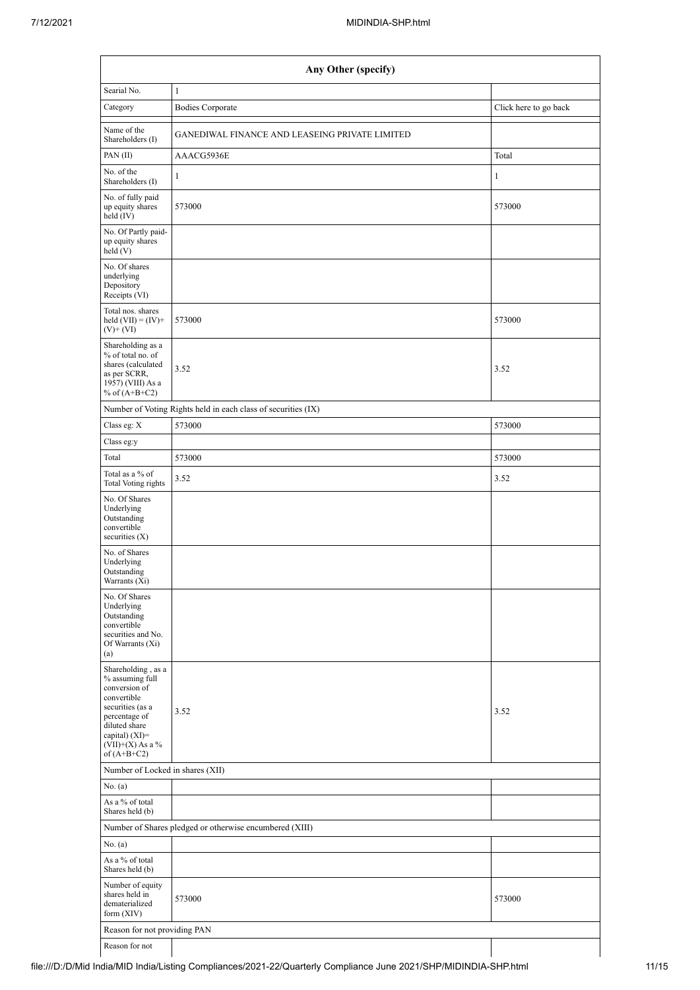| Any Other (specify)                                                                                                                                                                    |                                                               |                       |  |  |  |  |  |  |
|----------------------------------------------------------------------------------------------------------------------------------------------------------------------------------------|---------------------------------------------------------------|-----------------------|--|--|--|--|--|--|
| Searial No.                                                                                                                                                                            | $1\,$                                                         |                       |  |  |  |  |  |  |
| Category                                                                                                                                                                               | <b>Bodies Corporate</b>                                       | Click here to go back |  |  |  |  |  |  |
| Name of the<br>Shareholders (I)                                                                                                                                                        | GANEDIWAL FINANCE AND LEASEING PRIVATE LIMITED                |                       |  |  |  |  |  |  |
| PAN $(II)$                                                                                                                                                                             | AAACG5936E                                                    | Total                 |  |  |  |  |  |  |
| No. of the<br>Shareholders (I)                                                                                                                                                         | $\mathbf{1}$                                                  | 1                     |  |  |  |  |  |  |
| No. of fully paid<br>up equity shares<br>held (IV)                                                                                                                                     | 573000                                                        | 573000                |  |  |  |  |  |  |
| No. Of Partly paid-<br>up equity shares<br>held(V)                                                                                                                                     |                                                               |                       |  |  |  |  |  |  |
| No. Of shares<br>underlying<br>Depository<br>Receipts (VI)                                                                                                                             |                                                               |                       |  |  |  |  |  |  |
| Total nos. shares<br>held $(VII) = (IV) +$<br>$(V)$ + $(VI)$                                                                                                                           | 573000                                                        | 573000                |  |  |  |  |  |  |
| Shareholding as a<br>% of total no. of<br>shares (calculated<br>as per SCRR,<br>1957) (VIII) As a<br>% of $(A+B+C2)$                                                                   | 3.52                                                          | 3.52                  |  |  |  |  |  |  |
|                                                                                                                                                                                        | Number of Voting Rights held in each class of securities (IX) |                       |  |  |  |  |  |  |
| Class eg: X                                                                                                                                                                            | 573000                                                        | 573000                |  |  |  |  |  |  |
| Class eg:y                                                                                                                                                                             |                                                               |                       |  |  |  |  |  |  |
| Total                                                                                                                                                                                  | 573000                                                        | 573000                |  |  |  |  |  |  |
| Total as a % of<br><b>Total Voting rights</b>                                                                                                                                          | 3.52                                                          | 3.52                  |  |  |  |  |  |  |
| No. Of Shares<br>Underlying<br>Outstanding<br>convertible<br>securities $(X)$                                                                                                          |                                                               |                       |  |  |  |  |  |  |
| No. of Shares<br>Underlying<br>Outstanding<br>Warrants (Xi)                                                                                                                            |                                                               |                       |  |  |  |  |  |  |
| No. Of Shares<br>Underlying<br>Outstanding<br>convertible<br>securities and No.<br>Of Warrants (Xi)<br>(a)                                                                             |                                                               |                       |  |  |  |  |  |  |
| Shareholding, as a<br>% assuming full<br>conversion of<br>convertible<br>securities (as a<br>percentage of<br>diluted share<br>capital) $(XI)=$<br>$(VII)+(X)$ As a %<br>of $(A+B+C2)$ | 3.52                                                          | 3.52                  |  |  |  |  |  |  |
| Number of Locked in shares (XII)                                                                                                                                                       |                                                               |                       |  |  |  |  |  |  |
| No. (a)                                                                                                                                                                                |                                                               |                       |  |  |  |  |  |  |
| As a % of total<br>Shares held (b)                                                                                                                                                     |                                                               |                       |  |  |  |  |  |  |
|                                                                                                                                                                                        | Number of Shares pledged or otherwise encumbered (XIII)       |                       |  |  |  |  |  |  |
| No. (a)                                                                                                                                                                                |                                                               |                       |  |  |  |  |  |  |
| As a % of total<br>Shares held (b)                                                                                                                                                     |                                                               |                       |  |  |  |  |  |  |
| Number of equity<br>shares held in<br>dematerialized<br>form $(XIV)$                                                                                                                   | 573000                                                        | 573000                |  |  |  |  |  |  |
| Reason for not providing PAN                                                                                                                                                           |                                                               |                       |  |  |  |  |  |  |
| Reason for not                                                                                                                                                                         |                                                               |                       |  |  |  |  |  |  |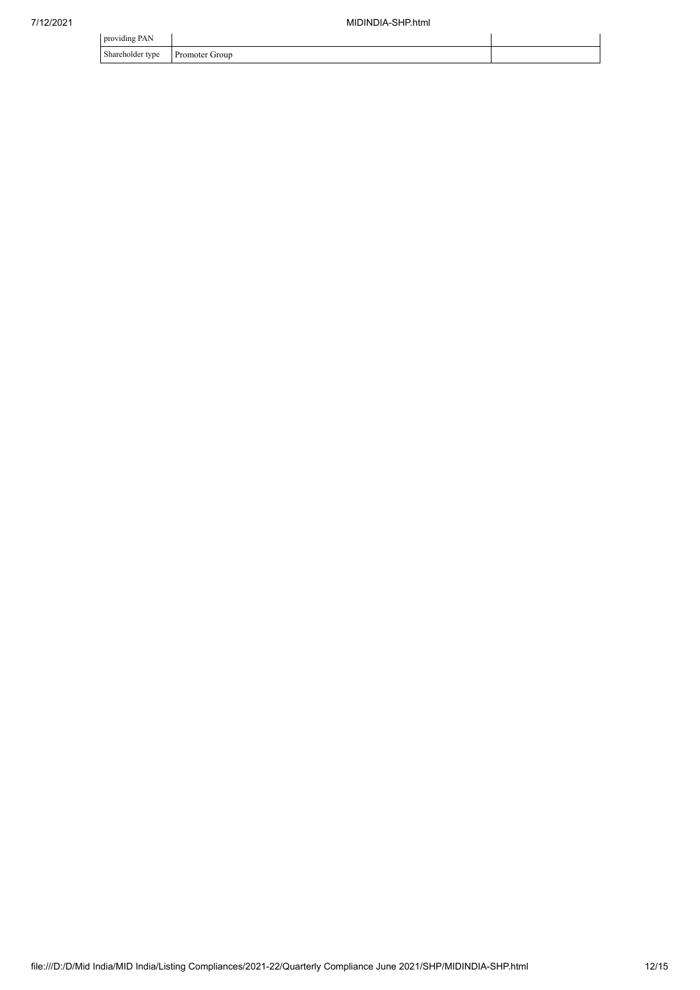| providing PAN                |                     |  |
|------------------------------|---------------------|--|
| Shareholder type<br>$\sim$ 1 | Promoter C<br>Group |  |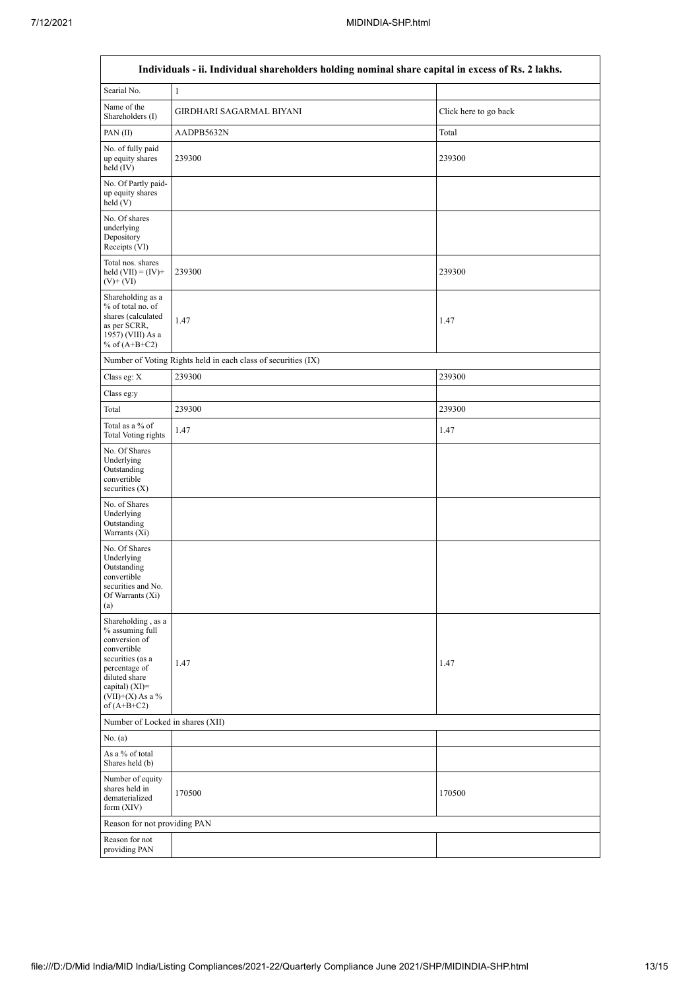$\overline{1}$ 

 $\overline{\mathsf{I}}$ 

| Individuals - ii. Individual shareholders holding nominal share capital in excess of Rs. 2 lakhs.                                                                                       |                                                               |                       |  |  |  |  |  |  |  |
|-----------------------------------------------------------------------------------------------------------------------------------------------------------------------------------------|---------------------------------------------------------------|-----------------------|--|--|--|--|--|--|--|
| Searial No.                                                                                                                                                                             | $\mathbf{1}$                                                  |                       |  |  |  |  |  |  |  |
| Name of the<br>Shareholders (I)                                                                                                                                                         | GIRDHARI SAGARMAL BIYANI                                      | Click here to go back |  |  |  |  |  |  |  |
| PAN(II)                                                                                                                                                                                 | AADPB5632N                                                    | Total                 |  |  |  |  |  |  |  |
| No. of fully paid<br>up equity shares<br>held $(IV)$                                                                                                                                    | 239300                                                        | 239300                |  |  |  |  |  |  |  |
| No. Of Partly paid-<br>up equity shares<br>$\text{held}$ (V)                                                                                                                            |                                                               |                       |  |  |  |  |  |  |  |
| No. Of shares<br>underlying<br>Depository<br>Receipts (VI)                                                                                                                              |                                                               |                       |  |  |  |  |  |  |  |
| Total nos. shares<br>held $(VII) = (IV) +$<br>$(V)$ + $(VI)$                                                                                                                            | 239300                                                        | 239300                |  |  |  |  |  |  |  |
| Shareholding as a<br>% of total no. of<br>shares (calculated<br>as per SCRR,<br>1957) (VIII) As a<br>% of $(A+B+C2)$                                                                    | 1.47                                                          | 1.47                  |  |  |  |  |  |  |  |
|                                                                                                                                                                                         | Number of Voting Rights held in each class of securities (IX) |                       |  |  |  |  |  |  |  |
| Class eg: X                                                                                                                                                                             | 239300                                                        | 239300                |  |  |  |  |  |  |  |
| Class eg:y                                                                                                                                                                              |                                                               |                       |  |  |  |  |  |  |  |
| Total                                                                                                                                                                                   | 239300                                                        | 239300                |  |  |  |  |  |  |  |
| Total as a % of<br><b>Total Voting rights</b>                                                                                                                                           | 1.47                                                          | 1.47                  |  |  |  |  |  |  |  |
| No. Of Shares<br>Underlying<br>Outstanding<br>convertible<br>securities $(X)$                                                                                                           |                                                               |                       |  |  |  |  |  |  |  |
| No. of Shares<br>Underlying<br>Outstanding<br>Warrants (Xi)                                                                                                                             |                                                               |                       |  |  |  |  |  |  |  |
| No. Of Shares<br>Underlying<br>Outstanding<br>convertible<br>securities and No.<br>Of Warrants (Xi)<br>(a)                                                                              |                                                               |                       |  |  |  |  |  |  |  |
| Shareholding, as a<br>% assuming full<br>conversion of<br>convertible<br>securities (as a<br>percentage of<br>diluted share<br>capital) $(XI)$ =<br>$(VII)+(X)$ As a %<br>of $(A+B+C2)$ | 1.47                                                          | 1.47                  |  |  |  |  |  |  |  |
| Number of Locked in shares (XII)                                                                                                                                                        |                                                               |                       |  |  |  |  |  |  |  |
| No. (a)                                                                                                                                                                                 |                                                               |                       |  |  |  |  |  |  |  |
| As a % of total<br>Shares held (b)                                                                                                                                                      |                                                               |                       |  |  |  |  |  |  |  |
| Number of equity<br>shares held in<br>dematerialized<br>form $(XIV)$                                                                                                                    | 170500                                                        | 170500                |  |  |  |  |  |  |  |
| Reason for not providing PAN                                                                                                                                                            |                                                               |                       |  |  |  |  |  |  |  |
| Reason for not<br>providing PAN                                                                                                                                                         |                                                               |                       |  |  |  |  |  |  |  |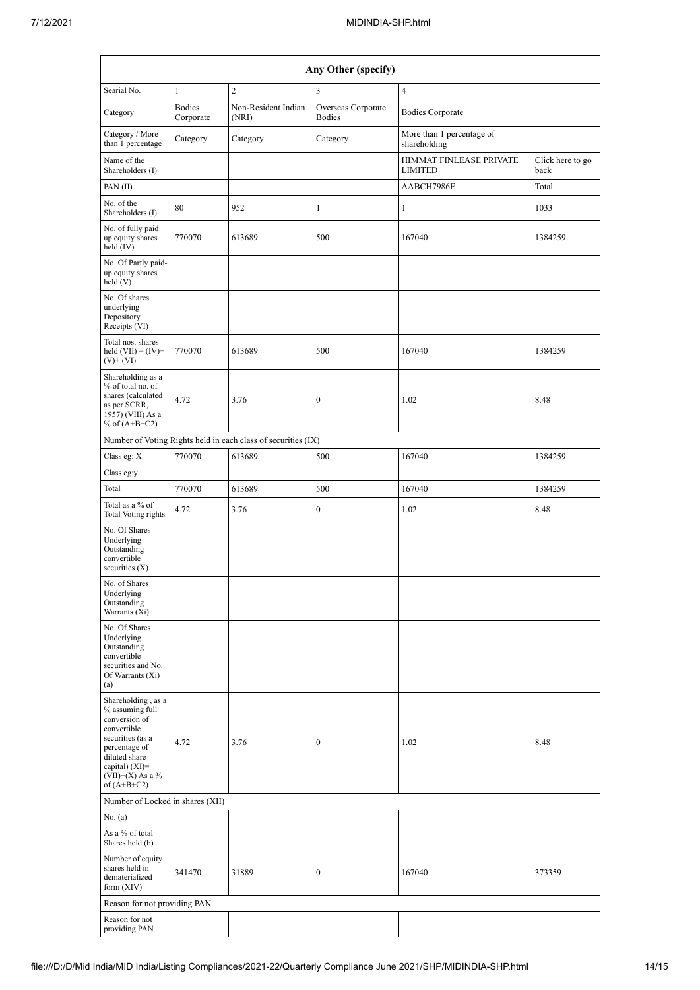| Any Other (specify)                                                                                                                                                                    |                            |                                                               |                                     |                                           |                          |  |  |  |
|----------------------------------------------------------------------------------------------------------------------------------------------------------------------------------------|----------------------------|---------------------------------------------------------------|-------------------------------------|-------------------------------------------|--------------------------|--|--|--|
| Searial No.                                                                                                                                                                            | $1\,$                      | $\overline{c}$                                                | $\overline{3}$                      | $\overline{4}$                            |                          |  |  |  |
| Category                                                                                                                                                                               | <b>Bodies</b><br>Corporate | Non-Resident Indian<br>(NRI)                                  | Overseas Corporate<br><b>Bodies</b> | <b>Bodies Corporate</b>                   |                          |  |  |  |
| Category / More<br>than 1 percentage                                                                                                                                                   | Category                   | Category                                                      | Category                            | More than 1 percentage of<br>shareholding |                          |  |  |  |
| Name of the<br>Shareholders (I)                                                                                                                                                        |                            |                                                               |                                     | HIMMAT FINLEASE PRIVATE<br><b>LIMITED</b> | Click here to go<br>back |  |  |  |
| PAN(II)                                                                                                                                                                                |                            |                                                               |                                     | AABCH7986E                                | Total                    |  |  |  |
| No. of the<br>Shareholders (I)                                                                                                                                                         | 80                         | 952                                                           | 1                                   | 1                                         | 1033                     |  |  |  |
| No. of fully paid<br>up equity shares<br>held (IV)                                                                                                                                     | 770070                     | 613689                                                        | 500                                 | 167040                                    | 1384259                  |  |  |  |
| No. Of Partly paid-<br>up equity shares<br>held(V)                                                                                                                                     |                            |                                                               |                                     |                                           |                          |  |  |  |
| No. Of shares<br>underlying<br>Depository<br>Receipts (VI)                                                                                                                             |                            |                                                               |                                     |                                           |                          |  |  |  |
| Total nos. shares<br>held $(VII) = (IV) +$<br>$(V)$ + $(VI)$                                                                                                                           | 770070                     | 613689                                                        | 500                                 | 167040                                    | 1384259                  |  |  |  |
| Shareholding as a<br>% of total no. of<br>shares (calculated<br>as per SCRR,<br>1957) (VIII) As a<br>% of $(A+B+C2)$                                                                   | 4.72                       | 3.76                                                          | $\boldsymbol{0}$                    | 1.02                                      | 8.48                     |  |  |  |
|                                                                                                                                                                                        |                            | Number of Voting Rights held in each class of securities (IX) |                                     |                                           |                          |  |  |  |
| Class eg: X                                                                                                                                                                            | 770070                     | 613689                                                        | 500                                 | 167040                                    | 1384259                  |  |  |  |
| Class eg:y                                                                                                                                                                             |                            |                                                               |                                     |                                           |                          |  |  |  |
| Total                                                                                                                                                                                  | 770070                     | 613689                                                        | 500                                 | 167040                                    | 1384259                  |  |  |  |
| Total as a % of<br><b>Total Voting rights</b>                                                                                                                                          | 4.72                       | 3.76                                                          | $\boldsymbol{0}$                    | 1.02                                      | 8.48                     |  |  |  |
| No. Of Shares<br>Underlying<br>Outstanding<br>convertible<br>securities $(X)$                                                                                                          |                            |                                                               |                                     |                                           |                          |  |  |  |
| No. of Shares<br>Underlying<br>Outstanding<br>Warrants (Xi)                                                                                                                            |                            |                                                               |                                     |                                           |                          |  |  |  |
| No. Of Shares<br>Underlying<br>Outstanding<br>convertible<br>securities and No.<br>Of Warrants (Xi)<br>(a)                                                                             |                            |                                                               |                                     |                                           |                          |  |  |  |
| Shareholding, as a<br>% assuming full<br>conversion of<br>convertible<br>securities (as a<br>percentage of<br>diluted share<br>capital) $(XI)=$<br>$(VII)+(X)$ As a %<br>of $(A+B+C2)$ | 4.72                       | 3.76                                                          | $\boldsymbol{0}$                    | 1.02                                      | 8.48                     |  |  |  |
| Number of Locked in shares (XII)                                                                                                                                                       |                            |                                                               |                                     |                                           |                          |  |  |  |
| No. (a)                                                                                                                                                                                |                            |                                                               |                                     |                                           |                          |  |  |  |
| As a % of total<br>Shares held (b)                                                                                                                                                     |                            |                                                               |                                     |                                           |                          |  |  |  |
| Number of equity<br>shares held in<br>dematerialized<br>form $(XIV)$                                                                                                                   | 341470                     | 31889                                                         | $\boldsymbol{0}$                    | 167040                                    | 373359                   |  |  |  |
| Reason for not providing PAN                                                                                                                                                           |                            |                                                               |                                     |                                           |                          |  |  |  |
| Reason for not<br>providing PAN                                                                                                                                                        |                            |                                                               |                                     |                                           |                          |  |  |  |